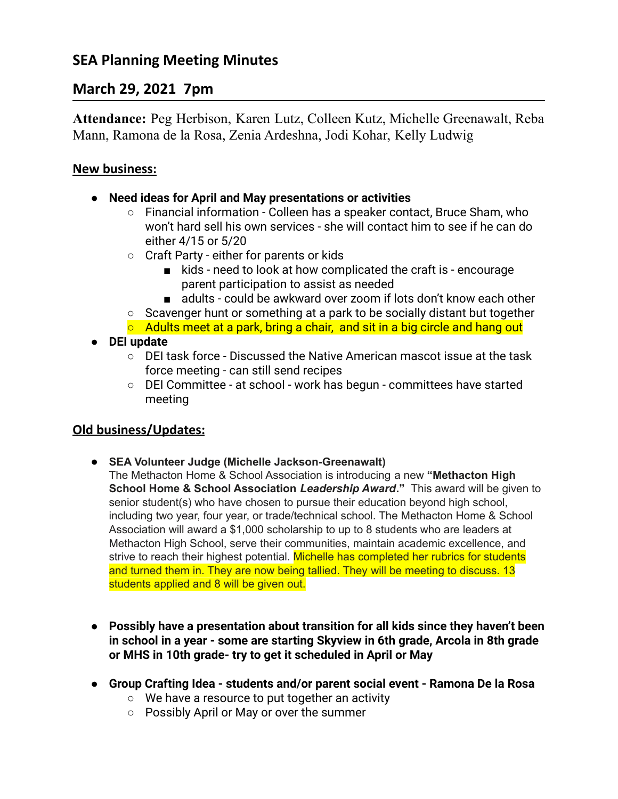# **SEA Planning Meeting Minutes**

## **March 29, 2021 7pm**

**Attendance:** Peg Herbison, Karen Lutz, Colleen Kutz, Michelle Greenawalt, Reba Mann, Ramona de la Rosa, Zenia Ardeshna, Jodi Kohar, Kelly Ludwig

### **New business:**

- **● Need ideas for April and May presentations or activities**
	- Financial information Colleen has a speaker contact, Bruce Sham, who won't hard sell his own services - she will contact him to see if he can do either 4/15 or 5/20
	- Craft Party either for parents or kids
		- kids need to look at how complicated the craft is encourage parent participation to assist as needed
		- adults could be awkward over zoom if lots don't know each other
	- Scavenger hunt or something at a park to be socially distant but together
	- $\circ$  Adults meet at a park, bring a chair, and sit in a big circle and hang out
- **● DEI update**
	- $\circ$  DEI task force Discussed the Native American mascot issue at the task force meeting - can still send recipes
	- DEI Committee at school work has begun committees have started meeting

### **Old business/Updates:**

- **SEA Volunteer Judge (Michelle Jackson-Greenawalt)**
	- The Methacton Home & School Association is introducing a new **"Methacton High School Home & School Association** *Leadership Award***."** This award will be given to senior student(s) who have chosen to pursue their education beyond high school, including two year, four year, or trade/technical school. The Methacton Home & School Association will award a \$1,000 scholarship to up to 8 students who are leaders at Methacton High School, serve their communities, maintain academic excellence, and strive to reach their highest potential. Michelle has completed her rubrics for students and turned them in. They are now being tallied. They will be meeting to discuss. 13 students applied and 8 will be given out.
- **● Possibly have a presentation about transition for all kids since they haven't been in school in a year - some are starting Skyview in 6th grade, Arcola in 8th grade or MHS in 10th grade- try to get it scheduled in April or May**
- **● Group Crafting Idea students and/or parent social event Ramona De la Rosa**
	- We have a resource to put together an activity
	- Possibly April or May or over the summer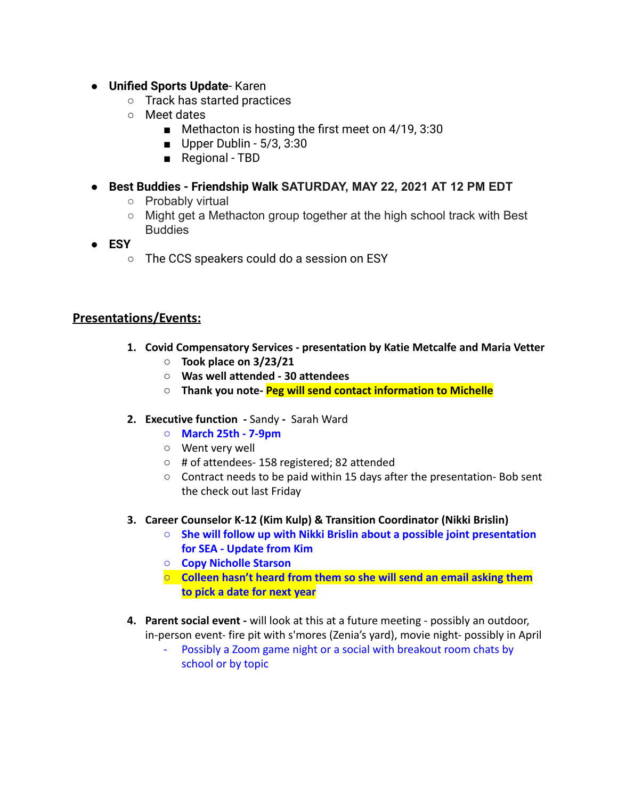- **● Unified Sports Update** Karen
	- Track has started practices
	- Meet dates
		- Methacton is hosting the first meet on 4/19, 3:30
		- $\blacksquare$  Upper Dublin 5/3, 3:30
		- Regional TBD
- **● Best Buddies Friendship Walk SATURDAY, MAY 22, 2021 AT 12 PM EDT**
	- Probably virtual
	- $\circ$  Might get a Methacton group together at the high school track with Best Buddies
- **● ESY**
	- The CCS speakers could do a session on ESY

### **Presentations/Events:**

- **1. Covid Compensatory Services presentation by Katie Metcalfe and Maria Vetter**
	- **Took place on 3/23/21**
	- **○ Was well attended 30 attendees**
	- **○ Thank you note- Peg will send contact information to Michelle**
- **2. Executive function -** Sandy **-** Sarah Ward
	- **○ March 25th 7-9pm**
	- Went very well
	- # of attendees- 158 registered; 82 attended
	- Contract needs to be paid within 15 days after the presentation- Bob sent the check out last Friday
- **3. Career Counselor K-12 (Kim Kulp) & Transition Coordinator (Nikki Brislin)**
	- **○ She will follow up with Nikki Brislin about a possible joint presentation for SEA - Update from Kim**
	- **○ Copy Nicholle Starson**
	- **○ Colleen hasn't heard from them so she will send an email asking them to pick a date for next year**
- **4. Parent social event -** will look at this at a future meeting possibly an outdoor, in-person event- fire pit with s'mores (Zenia's yard), movie night- possibly in April
	- Possibly a Zoom game night or a social with breakout room chats by school or by topic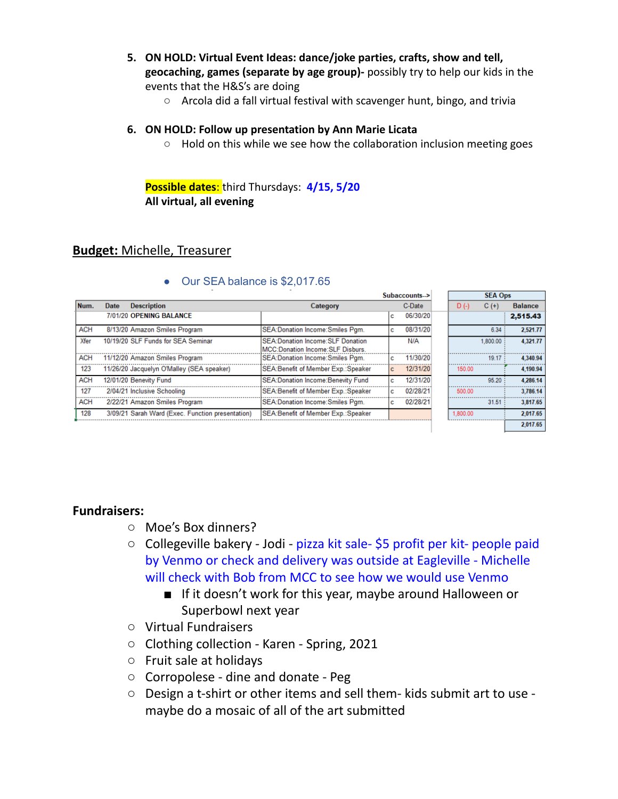- **5. ON HOLD: Virtual Event Ideas: dance/joke parties, crafts, show and tell, geocaching, games (separate by age group)-** possibly try to help our kids in the events that the H&S's are doing
	- Arcola did a fall virtual festival with scavenger hunt, bingo, and trivia

#### **6. ON HOLD: Follow up presentation by Ann Marie Licata**

○ Hold on this while we see how the collaboration inclusion meeting goes

**Possible dates**: third Thursdays: **4/15, 5/20 All virtual, all evening**

### **Budget:** Michelle, Treasurer

|            |      |                                                  |                                                                               | Subaccounts> |          |  | <b>SEA Ops</b> |          |                |
|------------|------|--------------------------------------------------|-------------------------------------------------------------------------------|--------------|----------|--|----------------|----------|----------------|
| Num.       | Date | <b>Description</b>                               | Category                                                                      |              | C-Date   |  | $D( - )$       | $C (+)$  | <b>Balance</b> |
|            |      | 7/01/20 OPENING BALANCE                          |                                                                               | c            | 06/30/20 |  |                |          | 2,515,43       |
| <b>ACH</b> |      | 8/13/20 Amazon Smiles Program                    | SEA: Donation Income: Smiles Pgm.                                             | c            | 08/31/20 |  |                | 6.34     | 2.521.77       |
| Xfer       |      | 10/19/20 SLF Funds for SEA Seminar               | SEA: Donation Income: SLF Donation<br><b>MCC:Donation Income:SLF Disburs.</b> |              | N/A      |  |                | 1.800.00 | 4.321.77       |
| <b>ACH</b> |      | 11/12/20 Amazon Smiles Program                   | SEA:Donation Income:Smiles Pgm.                                               |              | 11/30/20 |  |                | 19.17    | 4.340.94       |
| 123        |      | 11/26/20 Jacquelyn O'Malley (SEA speaker)        | SEA: Benefit of Member Exp.: Speaker                                          | c.           | 12/31/20 |  | 150.00         |          | 4,190.94       |
| <b>ACH</b> |      | 12/01/20 Benevity Fund                           | SEA: Donation Income: Benevity Fund                                           | c            | 12/31/20 |  |                | 95.20    | 4.286.14       |
| 127        |      | 2/04/21 Inclusive Schooling                      | SEA: Benefit of Member Exp.: Speaker                                          | c            | 02/28/21 |  | 500.00         |          | 3.786.14       |
| <b>ACH</b> |      | 2/22/21 Amazon Smiles Program                    | SEA: Donation Income: Smiles Pam.                                             | c            | 02/28/21 |  |                | 31.51    | 3.817.65       |
| 128        |      | 3/09/21 Sarah Ward (Exec. Function presentation) | SEA: Benefit of Member Exp.: Speaker                                          |              |          |  | 1.800.00       |          | 2.017.65       |
|            |      |                                                  |                                                                               |              |          |  |                |          | 2,017.65       |

### • Our SEA balance is \$2,017.65

#### **Fundraisers:**

- Moe's Box dinners?
- Collegeville bakery Jodi pizza kit sale- \$5 profit per kit- people paid by Venmo or check and delivery was outside at Eagleville - Michelle will check with Bob from MCC to see how we would use Venmo
	- If it doesn't work for this year, maybe around Halloween or Superbowl next year
- Virtual Fundraisers
- Clothing collection Karen Spring, 2021
- Fruit sale at holidays
- Corropolese dine and donate Peg
- Design a t-shirt or other items and sell them- kids submit art to use maybe do a mosaic of all of the art submitted